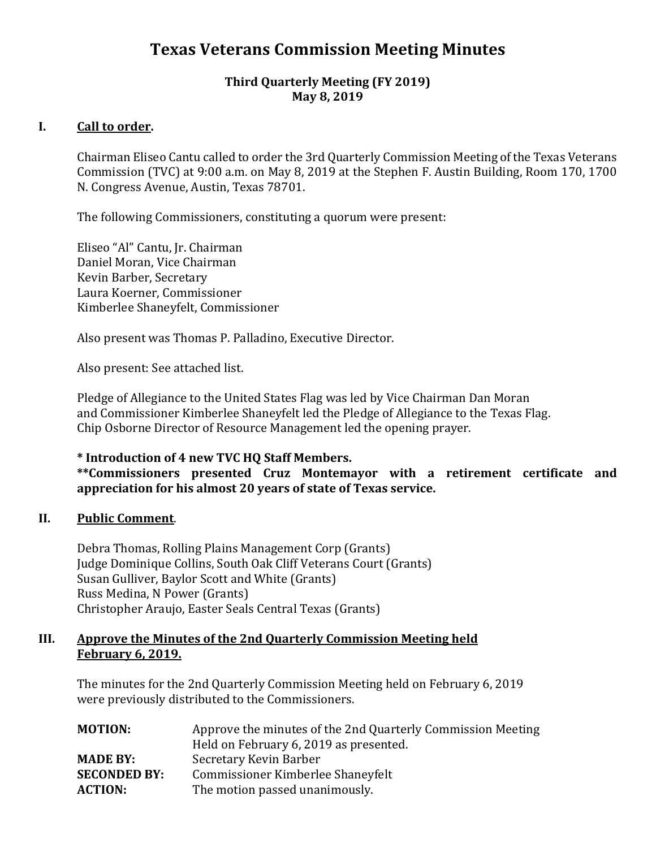# **Texas Veterans Commission Meeting Minutes**

#### **Third Quarterly Meeting (FY 2019) May 8, 2019**

## **I. Call to order.**

Chairman Eliseo Cantu called to order the 3rd Quarterly Commission Meeting of the Texas Veterans Commission (TVC) at 9:00 a.m. on May 8, 2019 at the Stephen F. Austin Building, Room 170, 1700 N. Congress Avenue, Austin, Texas 78701.

The following Commissioners, constituting a quorum were present:

Eliseo "Al" Cantu, Jr. Chairman Daniel Moran, Vice Chairman Kevin Barber, Secretary Laura Koerner, Commissioner Kimberlee Shaneyfelt, Commissioner

Also present was Thomas P. Palladino, Executive Director.

Also present: See attached list.

Pledge of Allegiance to the United States Flag was led by Vice Chairman Dan Moran and Commissioner Kimberlee Shaneyfelt led the Pledge of Allegiance to the Texas Flag. Chip Osborne Director of Resource Management led the opening prayer.

#### **\* Introduction of 4 new TVC HQ Staff Members.**

**\*\*Commissioners presented Cruz Montemayor with a retirement certificate and appreciation for his almost 20 years of state of Texas service.**

#### II. **II. Public Comment**.

Debra Thomas, Rolling Plains Management Corp (Grants) Judge Dominique Collins, South Oak Cliff Veterans Court (Grants) Susan Gulliver, Baylor Scott and White (Grants) Russ Medina, N Power (Grants) Christopher Araujo, Easter Seals Central Texas (Grants)

#### **III. Approve the Minutes of the 2nd Quarterly Commission Meeting held February 6, 2019.**

The minutes for the 2nd Quarterly Commission Meeting held on February 6, 2019 were previously distributed to the Commissioners.

| <b>MOTION:</b>      | Approve the minutes of the 2nd Quarterly Commission Meeting |
|---------------------|-------------------------------------------------------------|
|                     | Held on February 6, 2019 as presented.                      |
| <b>MADE BY:</b>     | Secretary Kevin Barber                                      |
| <b>SECONDED BY:</b> | Commissioner Kimberlee Shaneyfelt                           |
| <b>ACTION:</b>      | The motion passed unanimously.                              |
|                     |                                                             |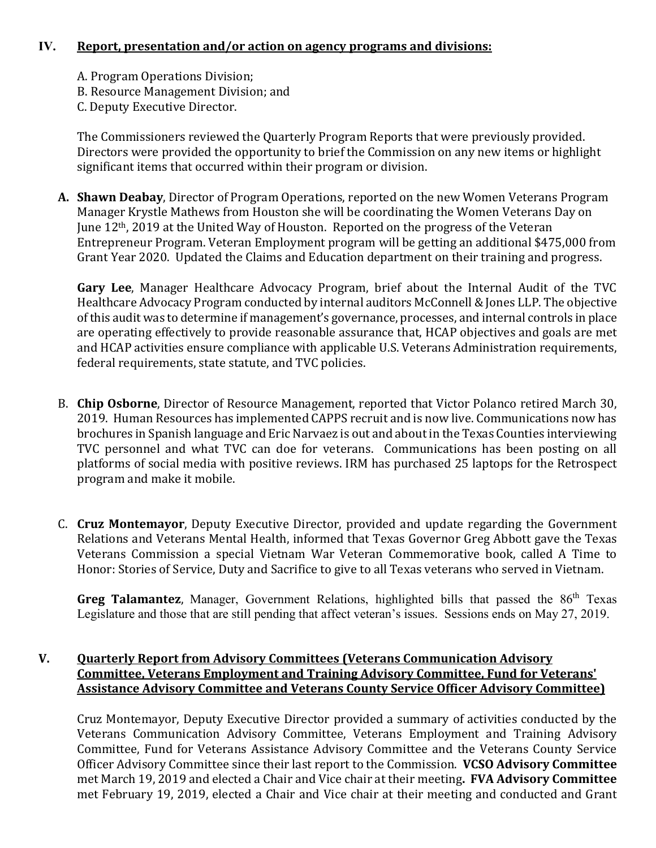#### **IV. Report, presentation and/or action on agency programs and divisions:**

- A. Program Operations Division;
- B. Resource Management Division; and
- C. Deputy Executive Director.

The Commissioners reviewed the Quarterly Program Reports that were previously provided. Directors were provided the opportunity to brief the Commission on any new items or highlight significant items that occurred within their program or division.

**A. Shawn Deabay**, Director of Program Operations, reported on the new Women Veterans Program Manager Krystle Mathews from Houston she will be coordinating the Women Veterans Day on June 12th, 2019 at the United Way of Houston. Reported on the progress of the Veteran Entrepreneur Program. Veteran Employment program will be getting an additional \$475,000 from Grant Year 2020. Updated the Claims and Education department on their training and progress.

**Gary Lee**, Manager Healthcare Advocacy Program, brief about the Internal Audit of the TVC Healthcare Advocacy Program conducted by internal auditors McConnell & Jones LLP. The objective of this audit was to determine if management's governance, processes, and internal controls in place are operating effectively to provide reasonable assurance that, HCAP objectives and goals are met and HCAP activities ensure compliance with applicable U.S. Veterans Administration requirements, federal requirements, state statute, and TVC policies.

- B. **Chip Osborne**, Director of Resource Management, reported that Victor Polanco retired March 30, 2019. Human Resources has implemented CAPPS recruit and is now live. Communications now has brochures in Spanish language and Eric Narvaez is out and about in the Texas Counties interviewing TVC personnel and what TVC can doe for veterans. Communications has been posting on all platforms of social media with positive reviews. IRM has purchased 25 laptops for the Retrospect program and make it mobile.
- C. **Cruz Montemayor**, Deputy Executive Director, provided and update regarding the Government Relations and Veterans Mental Health, informed that Texas Governor Greg Abbott gave the Texas Veterans Commission a special Vietnam War Veteran Commemorative book, called A Time to Honor: Stories of Service, Duty and Sacrifice to give to all Texas veterans who served in Vietnam.

Greg Talamantez, Manager, Government Relations, highlighted bills that passed the 86<sup>th</sup> Texas Legislature and those that are still pending that affect veteran's issues. Sessions ends on May 27, 2019.

# **V. Quarterly Report from Advisory Committees (Veterans Communication Advisory Committee, Veterans Employment and Training Advisory Committee, Fund for Veterans' Assistance Advisory Committee and Veterans County Service Officer Advisory Committee)**

Cruz Montemayor, Deputy Executive Director provided a summary of activities conducted by the Veterans Communication Advisory Committee, Veterans Employment and Training Advisory Committee, Fund for Veterans Assistance Advisory Committee and the Veterans County Service Officer Advisory Committee since their last report to the Commission. **VCSO Advisory Committee** met March 19, 2019 and elected a Chair and Vice chair at their meeting**. FVA Advisory Committee** met February 19, 2019, elected a Chair and Vice chair at their meeting and conducted and Grant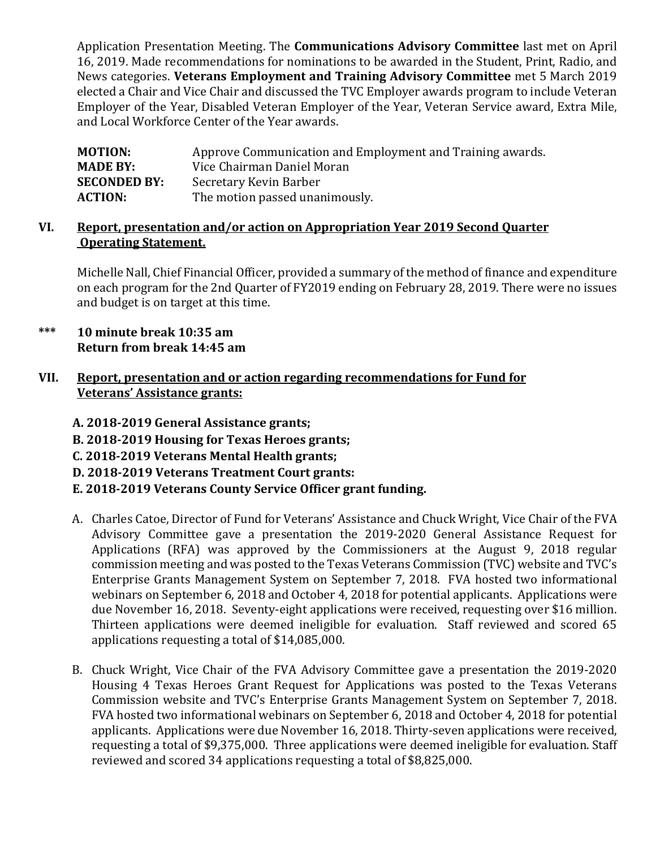Application Presentation Meeting. The **Communications Advisory Committee** last met on April 16, 2019. Made recommendations for nominations to be awarded in the Student, Print, Radio, and News categories. **Veterans Employment and Training Advisory Committee** met 5 March 2019 elected a Chair and Vice Chair and discussed the TVC Employer awards program to include Veteran Employer of the Year, Disabled Veteran Employer of the Year, Veteran Service award, Extra Mile, and Local Workforce Center of the Year awards.

| <b>MOTION:</b>      | Approve Communication and Employment and Training awards. |
|---------------------|-----------------------------------------------------------|
| <b>MADE BY:</b>     | Vice Chairman Daniel Moran                                |
| <b>SECONDED BY:</b> | Secretary Kevin Barber                                    |
| <b>ACTION:</b>      | The motion passed unanimously.                            |
|                     |                                                           |

#### **VI. Report, presentation and/or action on Appropriation Year 2019 Second Quarter Operating Statement.**

Michelle Nall, Chief Financial Officer, provided a summary of the method of finance and expenditure on each program for the 2nd Quarter of FY2019 ending on February 28, 2019. There were no issues and budget is on target at this time.

**\*\*\* 10 minute break 10:35 am Return from break 14:45 am**

# **VII. Report, presentation and or action regarding recommendations for Fund for Veterans' Assistance grants:**

- **A. 2018-2019 General Assistance grants; B. 2018-2019 Housing for Texas Heroes grants; C. 2018-2019 Veterans Mental Health grants; D. 2018-2019 Veterans Treatment Court grants: E. 2018-2019 Veterans County Service Officer grant funding.**
- A. Charles Catoe, Director of Fund for Veterans' Assistance and Chuck Wright, Vice Chair of the FVA Advisory Committee gave a presentation the 2019-2020 General Assistance Request for Applications (RFA) was approved by the Commissioners at the August 9, 2018 regular commission meeting and was posted to the Texas Veterans Commission (TVC) website and TVC's Enterprise Grants Management System on September 7, 2018. FVA hosted two informational webinars on September 6, 2018 and October 4, 2018 for potential applicants. Applications were due November 16, 2018. Seventy-eight applications were received, requesting over \$16 million. Thirteen applications were deemed ineligible for evaluation. Staff reviewed and scored 65 applications requesting a total of \$14,085,000.
- B. Chuck Wright, Vice Chair of the FVA Advisory Committee gave a presentation the 2019-2020 Housing 4 Texas Heroes Grant Request for Applications was posted to the Texas Veterans Commission website and TVC's Enterprise Grants Management System on September 7, 2018. FVA hosted two informational webinars on September 6, 2018 and October 4, 2018 for potential applicants. Applications were due November 16, 2018. Thirty-seven applications were received, requesting a total of \$9,375,000. Three applications were deemed ineligible for evaluation. Staff reviewed and scored 34 applications requesting a total of \$8,825,000.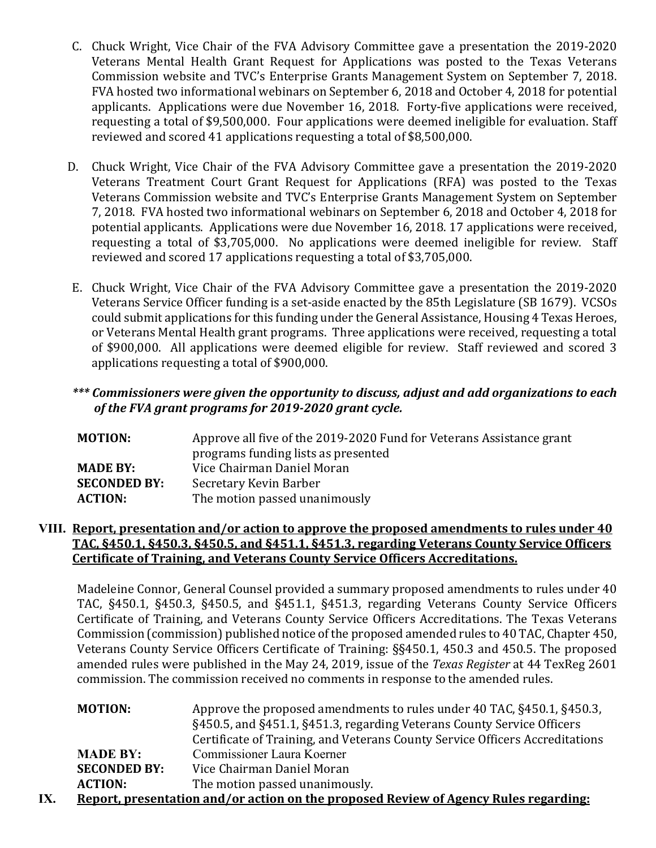- C. Chuck Wright, Vice Chair of the FVA Advisory Committee gave a presentation the 2019-2020 Veterans Mental Health Grant Request for Applications was posted to the Texas Veterans Commission website and TVC's Enterprise Grants Management System on September 7, 2018. FVA hosted two informational webinars on September 6, 2018 and October 4, 2018 for potential applicants. Applications were due November 16, 2018. Forty-five applications were received, requesting a total of \$9,500,000. Four applications were deemed ineligible for evaluation. Staff reviewed and scored 41 applications requesting a total of \$8,500,000.
- D. Chuck Wright, Vice Chair of the FVA Advisory Committee gave a presentation the 2019-2020 Veterans Treatment Court Grant Request for Applications (RFA) was posted to the Texas Veterans Commission website and TVC's Enterprise Grants Management System on September 7, 2018. FVA hosted two informational webinars on September 6, 2018 and October 4, 2018 for potential applicants. Applications were due November 16, 2018. 17 applications were received, requesting a total of \$3,705,000. No applications were deemed ineligible for review. Staff reviewed and scored 17 applications requesting a total of \$3,705,000.
- E. Chuck Wright, Vice Chair of the FVA Advisory Committee gave a presentation the 2019-2020 Veterans Service Officer funding is a set-aside enacted by the 85th Legislature (SB 1679). VCSOs could submit applications for this funding under the General Assistance, Housing 4 Texas Heroes, or Veterans Mental Health grant programs. Three applications were received, requesting a total of \$900,000. All applications were deemed eligible for review. Staff reviewed and scored 3 applications requesting a total of \$900,000.

## *\*\*\* Commissioners were given the opportunity to discuss, adjust and add organizations to each of the FVA grant programs for 2019-2020 grant cycle.*

| <b>MOTION:</b>      | Approve all five of the 2019-2020 Fund for Veterans Assistance grant<br>programs funding lists as presented |
|---------------------|-------------------------------------------------------------------------------------------------------------|
| <b>MADE BY:</b>     | Vice Chairman Daniel Moran                                                                                  |
| <b>SECONDED BY:</b> | Secretary Kevin Barber                                                                                      |
| <b>ACTION:</b>      | The motion passed unanimously                                                                               |

### **VIII. Report, presentation and/or action to approve the proposed amendments to rules under 40 TAC, §450.1, §450.3, §450.5, and §451.1, §451.3, regarding Veterans County Service Officers Certificate of Training, and Veterans County Service Officers Accreditations.**

Madeleine Connor, General Counsel provided a summary proposed amendments to rules under 40 TAC, §450.1, §450.3, §450.5, and §451.1, §451.3, regarding Veterans County Service Officers Certificate of Training, and Veterans County Service Officers Accreditations. The Texas Veterans Commission (commission) published notice of the proposed amended rules to 40 TAC, Chapter 450, Veterans County Service Officers Certificate of Training: §§450.1, 450.3 and 450.5. The proposed amended rules were published in the May 24, 2019, issue of the *Texas Register* at 44 TexReg 2601 commission. The commission received no comments in response to the amended rules.

| <b>MOTION:</b>                                                                       | Approve the proposed amendments to rules under 40 TAC, §450.1, §450.3,       |  |
|--------------------------------------------------------------------------------------|------------------------------------------------------------------------------|--|
|                                                                                      | §450.5, and §451.1, §451.3, regarding Veterans County Service Officers       |  |
|                                                                                      | Certificate of Training, and Veterans County Service Officers Accreditations |  |
| <b>MADE BY:</b>                                                                      | Commissioner Laura Koerner                                                   |  |
| <b>SECONDED BY:</b>                                                                  | Vice Chairman Daniel Moran                                                   |  |
| <b>ACTION:</b>                                                                       | The motion passed unanimously.                                               |  |
| Penort presentation and /or action on the proposed Review of Agency Rules regarding. |                                                                              |  |

**IX. Report, presentation and/or action on the proposed Review of Agency Rules regarding:**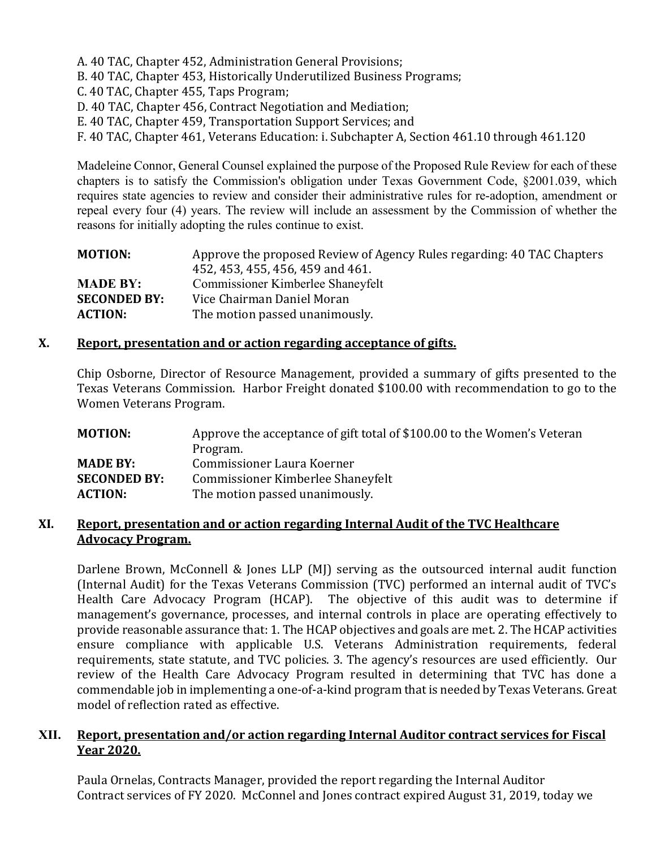A. 40 TAC, Chapter 452, Administration General Provisions;

B. 40 TAC, Chapter 453, Historically Underutilized Business Programs;

C. 40 TAC, Chapter 455, Taps Program;

D. 40 TAC, Chapter 456, Contract Negotiation and Mediation;

E. 40 TAC, Chapter 459, Transportation Support Services; and

F. 40 TAC, Chapter 461, Veterans Education: i. Subchapter A, Section 461.10 through 461.120

Madeleine Connor, General Counsel explained the purpose of the Proposed Rule Review for each of these chapters is to satisfy the Commission's obligation under Texas Government Code, §2001.039, which requires state agencies to review and consider their administrative rules for re-adoption, amendment or repeal every four (4) years. The review will include an assessment by the Commission of whether the reasons for initially adopting the rules continue to exist.

| Approve the proposed Review of Agency Rules regarding: 40 TAC Chapters |
|------------------------------------------------------------------------|
| 452, 453, 455, 456, 459 and 461.                                       |
| Commissioner Kimberlee Shaneyfelt                                      |
| Vice Chairman Daniel Moran                                             |
| The motion passed unanimously.                                         |
|                                                                        |

#### **X. Report, presentation and or action regarding acceptance of gifts.**

Chip Osborne, Director of Resource Management, provided a summary of gifts presented to the Texas Veterans Commission. Harbor Freight donated \$100.00 with recommendation to go to the Women Veterans Program.

| Approve the acceptance of gift total of \$100.00 to the Women's Veteran |
|-------------------------------------------------------------------------|
| Program.                                                                |
| Commissioner Laura Koerner                                              |
| Commissioner Kimberlee Shaneyfelt                                       |
| The motion passed unanimously.                                          |
|                                                                         |

#### **XI. Report, presentation and or action regarding Internal Audit of the TVC Healthcare Advocacy Program.**

Darlene Brown, McConnell & Jones LLP (MJ) serving as the outsourced internal audit function (Internal Audit) for the Texas Veterans Commission (TVC) performed an internal audit of TVC's Health Care Advocacy Program (HCAP). The objective of this audit was to determine if management's governance, processes, and internal controls in place are operating effectively to provide reasonable assurance that: 1. The HCAP objectives and goals are met. 2. The HCAP activities ensure compliance with applicable U.S. Veterans Administration requirements, federal requirements, state statute, and TVC policies. 3. The agency's resources are used efficiently. Our review of the Health Care Advocacy Program resulted in determining that TVC has done a commendable job in implementing a one-of-a-kind program that is needed by Texas Veterans. Great model of reflection rated as effective.

#### **XII. Report, presentation and/or action regarding Internal Auditor contract services for Fiscal Year 2020.**

Paula Ornelas, Contracts Manager, provided the report regarding the Internal Auditor Contract services of FY 2020. McConnel and Jones contract expired August 31, 2019, today we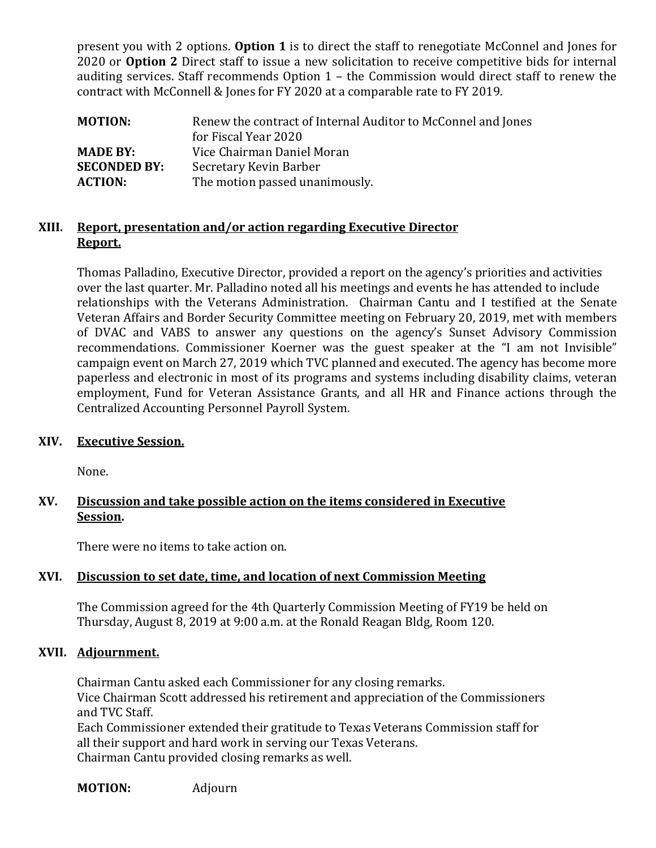present you with 2 options. **Option 1** is to direct the staff to renegotiate McConnel and Jones for 2020 or **Option 2** Direct staff to issue a new solicitation to receive competitive bids for internal auditing services. Staff recommends Option 1 – the Commission would direct staff to renew the contract with McConnell & Jones for FY 2020 at a comparable rate to FY 2019.

| <b>MOTION:</b>      | Renew the contract of Internal Auditor to McConnel and Jones<br>for Fiscal Year 2020 |
|---------------------|--------------------------------------------------------------------------------------|
| <b>MADE BY:</b>     | Vice Chairman Daniel Moran                                                           |
| <b>SECONDED BY:</b> | Secretary Kevin Barber                                                               |
| <b>ACTION:</b>      | The motion passed unanimously.                                                       |

#### **XIII. Report, presentation and/or action regarding Executive Director Report.**

Thomas Palladino, Executive Director, provided a report on the agency's priorities and activities over the last quarter. Mr. Palladino noted all his meetings and events he has attended to include relationships with the Veterans Administration. Chairman Cantu and I testified at the Senate Veteran Affairs and Border Security Committee meeting on February 20, 2019, met with members of DVAC and VABS to answer any questions on the agency's Sunset Advisory Commission recommendations. Commissioner Koerner was the guest speaker at the "I am not Invisible" campaign event on March 27, 2019 which TVC planned and executed. The agency has become more paperless and electronic in most of its programs and systems including disability claims, veteran employment, Fund for Veteran Assistance Grants, and all HR and Finance actions through the Centralized Accounting Personnel Payroll System.

#### **XIV. Executive Session.**

None.

## **XV. Discussion and take possible action on the items considered in Executive Session.**

There were no items to take action on.

# **XVI. Discussion to set date, time, and location of next Commission Meeting**

The Commission agreed for the 4th Quarterly Commission Meeting of FY19 be held on Thursday, August 8, 2019 at 9:00 a.m. at the Ronald Reagan Bldg, Room 120.

# **XVII. Adjournment.**

Chairman Cantu asked each Commissioner for any closing remarks. Vice Chairman Scott addressed his retirement and appreciation of the Commissioners and TVC Staff. Each Commissioner extended their gratitude to Texas Veterans Commission staff for all their support and hard work in serving our Texas Veterans.

Chairman Cantu provided closing remarks as well.

**MOTION:** Adjourn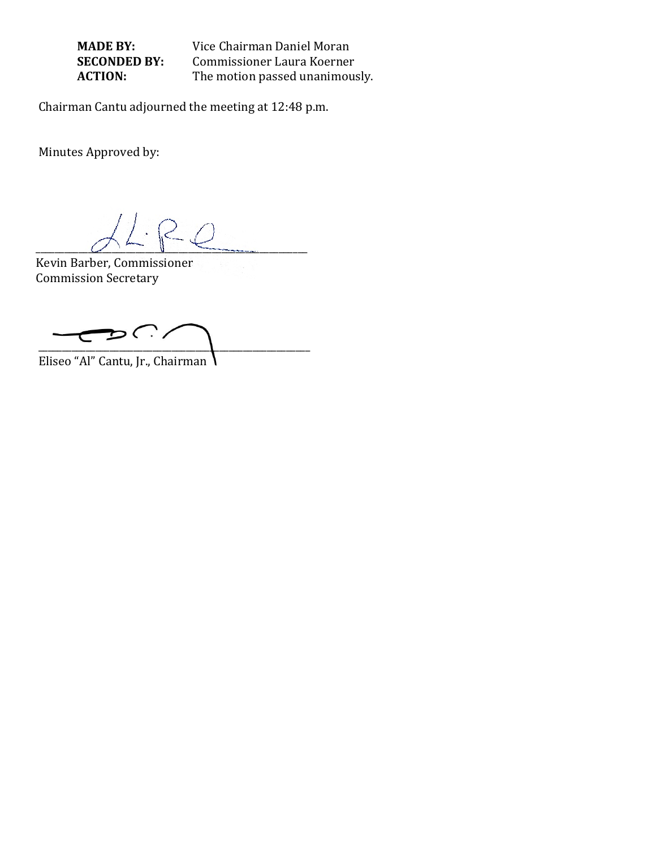**MADE BY:** Vice Chairman Daniel Moran<br>**SECONDED BY:** Commissioner Laura Koerner **SECONDED BY:** Commissioner Laura Koerner<br>**ACTION:** The motion passed unanimous The motion passed unanimously.

Chairman Cantu adjourned the meeting at 12:48 p.m.

Minutes Approved by:

 $\overline{\smile}$   $\overline{\smile}$   $\overline{\smile}$   $\overline{\smile}$   $\overline{\smile}$ 

Kevin Barber, Commissioner Commission Secretary

 $\mathcal{D}$   $\bigcap$  $\overline{\phantom{0}}$  $\overline{\mathbf{C}}$ \_\_\_\_\_\_\_\_\_\_\_\_\_\_\_\_\_\_\_\_\_\_\_\_\_\_\_\_\_\_\_\_\_\_\_\_\_\_\_\_\_\_\_\_\_\_\_\_\_\_\_\_\_\_\_\_\_

Eliseo "Al" Cantu, Jr., Chairman